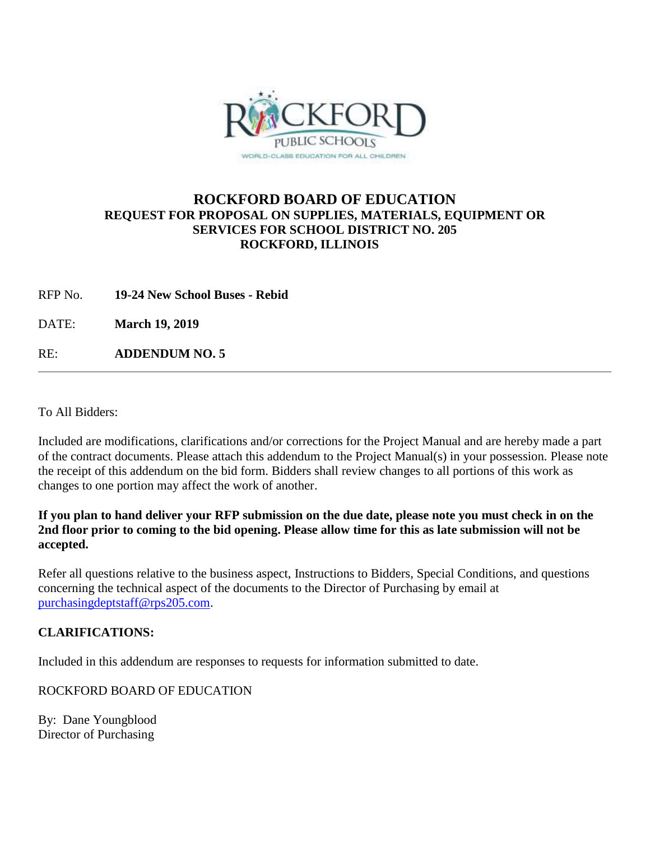

## **ROCKFORD BOARD OF EDUCATION REQUEST FOR PROPOSAL ON SUPPLIES, MATERIALS, EQUIPMENT OR SERVICES FOR SCHOOL DISTRICT NO. 205 ROCKFORD, ILLINOIS**

RFP No. **19-24 New School Buses - Rebid**

DATE: **March 19, 2019**

RE: **ADDENDUM NO. 5**

To All Bidders:

Included are modifications, clarifications and/or corrections for the Project Manual and are hereby made a part of the contract documents. Please attach this addendum to the Project Manual(s) in your possession. Please note the receipt of this addendum on the bid form. Bidders shall review changes to all portions of this work as changes to one portion may affect the work of another.

**If you plan to hand deliver your RFP submission on the due date, please note you must check in on the 2nd floor prior to coming to the bid opening. Please allow time for this as late submission will not be accepted.**

Refer all questions relative to the business aspect, Instructions to Bidders, Special Conditions, and questions concerning the technical aspect of the documents to the Director of Purchasing by email at [purchasingdeptstaff@rps205.com.](mailto:purchasingdeptstaff@rps205.com)

## **CLARIFICATIONS:**

Included in this addendum are responses to requests for information submitted to date.

ROCKFORD BOARD OF EDUCATION

By: Dane Youngblood Director of Purchasing